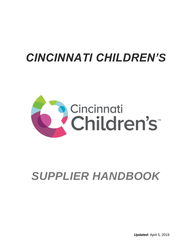## *CINCINNATI CHILDREN'S*



# *SUPPLIER HANDBOOK*

*Updated:* April 5, 2019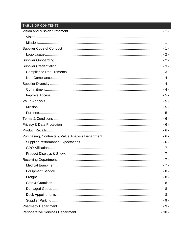### TABLE OF CONTENTS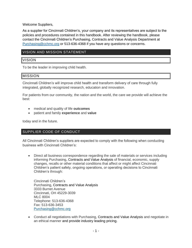Welcome Suppliers,

As a supplier for Cincinnati Children's, your company and its representatives are subject to the policies and procedures contained in this handbook. After reviewing the handbook, please contact the Cincinnati Children's Purchasing, Contracts and Value Analysis Department at [Purchasing@cchmc.org](mailto:Purchasing@cchmc.org) or 513-636-4368 if you have any questions or concerns.

#### <span id="page-2-0"></span>VISION AND MISSION STATEMENT

#### <span id="page-2-1"></span>VISION

To be the leader in improving child health.

#### <span id="page-2-2"></span>MISSION

Cincinnati Children's will improve child health and transform delivery of care through fully integrated, globally recognized research, education and innovation.

For patients from our community, the nation and the world, the care we provide will achieve the best:

- medical and quality of life **outcomes**
- patient and family **experience** and **value**

today and in the future.

#### <span id="page-2-3"></span>SUPPLIER CODE OF CONDUCT

All Cincinnati Children's suppliers are expected to comply with the following when conducting business with Cincinnati Children's:

 Direct all business correspondence regarding the sale of materials or services including informing Purchasing, Contracts and Value Analysis of financial, economic, supply changes, recalls or other material conditions that affect or might affect Cincinnati Children's patient safety, ongoing operations, or operating decisions to Cincinnati Children's through:

Cincinnati Children's Purchasing, Contracts and Value Analysis 3333 Burnet Avenue Cincinnati, OH 45229-3039 MLC 8004 Telephone: 513-636-4368 Fax: 513-636-3453 [Purchasing@cchmc.org](mailto:Purchasing@cchmc.org)

 Conduct all negotiations with Purchasing, Contracts and Value Analysis and negotiate in an ethical manner and provide industry leading pricing.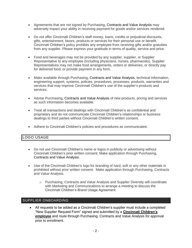- Agreements that are not signed by Purchasing, Contracts and Value Analysis may adversely impact your ability in receiving payment for goods and/or services rendered.
- Do not offer Cincinnati Children's staff money, loans, credits or prejudicial discounts, gifts, entertainment, favors, products or services for their personal use or benefit. Cincinnati Children's policy prohibits any employee from receiving gifts and/or gratuities from any supplier. Please express your gratitude in terms of quality, service and price.
- Food and beverages may not be provided by any supplier, supplier, or Supplier Representative to any employee (including physicians, nurses, pharmacists). Supplier Representatives may not make food arrangements, orders or deliveries, or directly pay for delivered food, or provide payment in any form.
- Make available through Purchasing, Contracts and Value Analysis, technical information, engineering support, systems, policies, procedures, processes, products, warranties and services that may improve Cincinnati Children's use of the supplier's products and services.
- Advise Purchasing, Contracts and Value Analysis of new products, pricing and services as such information becomes available.
- Treat all transactions and dealings with Cincinnati Children's as confidential and proprietary and do not communicate Cincinnati Children's relationships or business dealings to third parties without Cincinnati Children's written consent.
- Adhere to Cincinnati Children's policies and procedures as communicated.

#### <span id="page-3-0"></span>LOGO USAGE

- Do not use Cincinnati Children's name or logos in publicity or advertising without Cincinnati Children's prior written consent. Make application through Purchasing, Contracts and Value Analysis.
- Use of the Cincinnati Children's logo for branding of hard, soft or any other materials is prohibited without prior written consent. Make application through Purchasing, Contracts and Value Analysis.
	- o Purchasing, Contracts and Value Analysis and Supplier Diversity will coordinate with Marketing and Communications to arrange a meeting to discuss the Cincinnati Children's Brand Usage Agreement.

#### <span id="page-3-1"></span>SUPPLIER ONBOARDING

 All requests to be added as a Cincinnati Children's supplier must include a completed "New Supplier Request Form" signed and submitted by a **Cincinnati Children's employee** and route through Purchasing, Contracts and Value Analysis for approval prior to enrollment.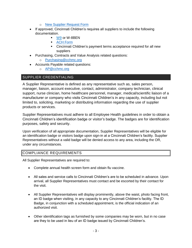- o New Supplier [Request Form](https://cchmc-my.sharepoint.com/personal/michael_shepherd_cchmc_org/Documents/Documents/Documents/Purch%20Manager/Policies%20and%20Procedures/Form%20PUR001%20New%20supplier%20request%20rev%20%2005-2016_distributed.pdf)
- If approved, Cincinnati Children's requires all suppliers to include the following documentation.
	- [W9](https://cchmc-my.sharepoint.com/personal/michael_shepherd_cchmc_org/Documents/Documents/Documents/Purch%20Manager/Policies%20and%20Procedures/Doing%20Business%20w%20CCHMC/W-9FORM%2020070927.pdf) or W-8BEN
	- **[ACH Form](file:///C:/Users/SHE9GE/AppData/Local/Microsoft/Windows/Temporary%20Internet%20Files/Content.Outlook/3NR8PQSQ/ACH-Form-for-vendors.docx)**
	- Cincinnati Children's payment terms acceptance required for all new suppliers
- Purchasing, Contracts and Value Analysis related questions:
	- o [Purchasing@cchmc.org](mailto:Purchasing@cchmc.org)
- Accounts Payable related questions:
	- o [AP@cchmc.org](mailto:AP@cchmc.org)

#### <span id="page-4-0"></span>SUPPLIER CREDENTIALING

A Supplier Representative is defined as any representative such as, sales person, manager, liaison, account executive, contact, administrator, company technician, clinical support, nurse clinician, home healthcare personnel, manager, medical/scientific liaison of a manufacturer or company who visits Cincinnati Children's in any capacity, including but not limited to, soliciting, marketing or distributing information regarding the use of supplier products or services.

Supplier Representatives must adhere to all Employee Health guidelines in order to obtain a Cincinnati Children's identification badge or visitor's badge. The badges are for identification purposes, safety and security.

Upon verification of all appropriate documentation, Supplier Representatives will be eligible for an identification badge or visitors badge upon sign-in at a Cincinnati Children's facility. Supplier Representatives without a valid badge will be denied access to any area, including the OR, under any circumstances.

#### <span id="page-4-1"></span>COMPLIANCE REQUIREMENTS

All Supplier Representatives are required to:

- Complete annual health screen form and obtain flu vaccine.
- All sales and service calls to Cincinnati Children's are to be scheduled in advance. Upon arrival, all Supplier Representatives must contact and be escorted by their contact for the visit.
- All Supplier Representatives will display prominently, above the waist, photo facing front, an ID badge when visiting, in any capacity to any Cincinnati Children's facility. The ID Badge, in conjunction with a scheduled appointment, is the official indication of an authorized visit.
- Other identification tags as furnished by some companies may be worn, but in no case are they to be used in lieu of an ID badge issued by Cincinnati Children's.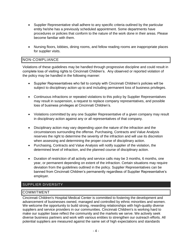- Supplier Representative shall adhere to any specific criteria outlined by the particular entity he/she has a previously scheduled appointment. Some departments have procedures or policies that conform to the nature of the work done in their areas. Please become familiar with them.
- Nursing floors, lobbies, dining rooms, and fellow reading rooms are inappropriate places for supplier visits.

#### <span id="page-5-0"></span>NON-COMPLIANCE

Violations of these guidelines may be handled through progressive discipline and could result in complete loss of visiting rights to Cincinnati Children's. Any observed or reported violation of the policy may be handled in the following manner:

- Supplier Representatives who fail to comply with Cincinnati Children's policies will be subject to disciplinary action up to and including permanent loss of business privileges.
- Continuous infractions or repeated violations to this policy by Supplier Representatives may result in suspension, a request to replace company representatives, and possible loss of business privileges at Cincinnati Children's.
- Violations committed by any one Supplier Representative of a given company may result in disciplinary action against any or all representatives of that company.
- Disciplinary action may vary depending upon the nature of the infraction and the circumstances surrounding the offense. Purchasing, Contracts and Value Analysis reserves the right to determine the severity of the infraction and will use its discretion when assessing and determining the proper course of disciplinary action.
- Purchasing, Contracts and Value Analysis will notify supplier of the violation, the determined level of infraction, and the planned course of disciplinary action.
- Duration of restriction of all activity and service calls may be 3 months, 6 months, one year, or permanent depending on extent of the infraction. Certain situations may require deviation from the guidelines outlined in the policy. Supplier Representatives can be banned from Cincinnati Children's permanently regardless of Supplier Representative's employer.

#### <span id="page-5-1"></span>SUPPLIER DIVERSITY

#### <span id="page-5-2"></span>COMMITMENT

Cincinnati Children's Hospital Medical Center is committed to fostering the development and advancement of businesses owned, managed and controlled by ethnic minorities and women. We welcome the opportunity to build strong, rewarding relationships with high-quality diverse suppliers and service providers in our communities. Cincinnati Children's is working hard to make our supplier base reflect the community and the markets we serve. We actively seek diverse business partners and work with various entities to strengthen our outreach efforts. All potential suppliers are measured against the same set of high expectations and standards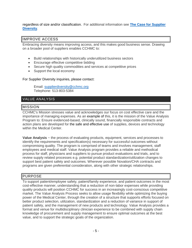regardless of size and/or classification. For additional information see **[The Case for Supplier](http://centerlink.cchmc.org/WorkArea/linkit.aspx?LinkIdentifier=id&ItemID=6658&libID=6666)  [Diversity](http://centerlink.cchmc.org/WorkArea/linkit.aspx?LinkIdentifier=id&ItemID=6658&libID=6666)**.

#### <span id="page-6-0"></span>IMPROVE ACCESS

Embracing diversity means improving access, and this makes good business sense. Drawing on a broader pool of suppliers enables CCHMC to:

- Build relationships with historically underutilized business sectors
- Encourage effective competitive bidding
- Secure high quality commodities and services at competitive prices
- Support the local economy

#### For Supplier Diversity inquiries, please contact:

Email: [supplierdiversity@cchmc.org](mailto:supplierdiversity@cchmc.org) Telephone: 513-803-5384

#### <span id="page-6-1"></span>VALUE ANALYSIS

#### <span id="page-6-2"></span>MISSION

CCHMC's Mission stresses value and acknowledges our focus on cost effective care and the importance of managing expenses. As an example of this, it is the mission of the Value Analysis Program to: Ensure evidenced-based, clinically sound, financially responsible contracts and action plans are developed for the safe and effective use of supplies, devices and technology within the Medical Center.

**Value Analysis** ~ the process of evaluating products, equipment, services and processes to identify the requirements and specification(s) necessary for successful outcomes without compromising quality. The program is comprised of teams and involves management, staff employees and medical staff. Value Analysis program provides a reliable and methodical process for staff, physicians and suppliers to pursue product evaluations and trials, and to review supply related processes e.g. potential product standardization/utilization changes to support best patient safety and outcomes. Wherever possible Novation/CHA contracts and programs are given preferential consideration, along with other strategic relationships.

#### <span id="page-6-3"></span>PURPOSE

To support patient/employee safety, patient/family experience, and patient outcomes in the most cost-effective manner, understanding that a reduction of non-labor expenses while providing quality products will position CCHMC for success in an increasingly cost-conscious competitive market. The Value Analysis Process seeks to allow usage flexibility while optimizing the buying power of the Medical Center, through the creation of a structure that supports efforts focused on better product selection, utilization, standardization and a reduction of variance in support of patient safety, and the management of new products and technology. Value Analysis provides a format and venue for multidisciplinary clinician experience to be combined with supply chain knowledge of procurement and supply management to ensure optimal outcomes at the best value, and to support the strategic goals of the organization.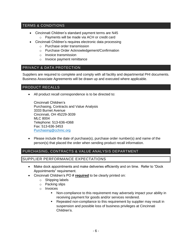#### <span id="page-7-0"></span>TERMS & CONDITIONS

- Cincinnati Children's standard payment terms are N45
	- o Payments will be made via ACH or credit card
- Cincinnati Children's requires electronic data processing
	- o Purchase order transmission
	- o Purchase Order Acknowledgement/Confirmation
	- o Invoice transmission
	- o Invoice payment remittance

#### <span id="page-7-1"></span>PRIVACY & DATA PROTECTION

Suppliers are required to complete and comply with all facility and departmental PHI documents. Business Associate Agreements will be drawn up and executed where applicable.

#### <span id="page-7-2"></span>PRODUCT RECALLS

All product recall correspondence is to be directed to:

Cincinnati Children's Purchasing, Contracts and Value Analysis 3333 Burnet Avenue Cincinnati, OH 45229-3039 MLC 8004 Telephone: 513-636-4368 Fax: 513-636-3453 [Purchasing@cchmc.org](mailto:Purchasing@cchmc.org)

 Please include the date of purchase(s), purchase order number(s) and name of the person(s) that placed the order when sending product recall information.

#### <span id="page-7-3"></span>PURCHASING, CONTRACTS & VALUE ANALYSIS DEPARTMENT

<span id="page-7-4"></span>SUPPLIER PERFORMANCE EXPECTATIONS

- Make dock appointments and make deliveries efficiently and on time. Refer to "Dock Appointments" requirement.
- Cincinnati Children's PO # **required** to be clearly printed on:
	- o Shipping labels
	- o Packing slips
	- o Invoices
		- Non-compliance to this requirement may adversely impact your ability in receiving payment for goods and/or services rendered.
		- Repeated non-compliance to this requirement by supplier may result in suspension and possible loss of business privileges at Cincinnati Children's.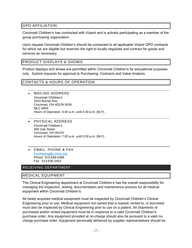#### <span id="page-8-0"></span>GPO AFFILIATION

Cincinnati Children's has contracted with Vizient and is actively participating as a member of the group purchasing organization.

Upon request Cincinnati Children's should be connected to all applicable Vizient GPO contracts for which we are eligible but reserves the right to locally negotiate and contract for goods and services as necessary.

#### <span id="page-8-1"></span>PRODUCT DISPLAYS & SHOWS

Product displays and shows are permitted within Cincinnati Children's for educational purposes only. Submit requests for approval to Purchasing, Contracts and Value Analysis.

#### CONTACTS & HOURS OF OPERATION

- MAILING ADDRESS Cincinnati Children's 3333 Burnet Ave Cincinnati, OH 45229-3039 MLC 8004 Hours of Operation: 5:30 a.m. until 4:30 p.m. (M-F)
- PHYSICAL ADDRESS Cincinnati Children's 400 Oak Street Cincinnati, OH 45229 Hours of Operation: 7:00 a.m. until 5:00 p.m. (M-F)
- EMAIL, PHONE & FAX [Purchasing@cchmc.org](mailto:Purchasing@cchmc.org) Phone: 513-636-4368 Fax: 513-636-3453

#### <span id="page-8-2"></span>RECEIVING DEPARTMENT

#### <span id="page-8-3"></span>MEDICAL EQUIPMENT

The Clinical Engineering department at Cincinnati Children's has the overall responsibility for managing the inspection, testing, documentation and maintenance process for all medical equipment within Cincinnati Children's.

All newly acquired medical equipment must be inspected by Cincinnati Children's Clinical Engineering prior to use. Medical equipment not owned that is loaned, rented to, or borrowed must also be inspected by Clinical Engineering prior to use on a patient. All shipments of purchased and/or rented equipment must be in response to a valid Cincinnati Children's purchase order. Any equipment provided at no-charge should also be pursuant to a valid nocharge purchase order. Equipment personally delivered by supplier representatives should be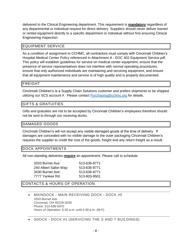delivered to the Clinical Engineering department. This requirement is **mandatory** regardless of any departmental or individual request for direct delivery. Suppliers should never deliver loaned or rented equipment directly to a specific department or individual without first ensuring Clinical Engineering inspection.

#### <span id="page-9-0"></span>EQUIPMENT SERVICE

As a condition of assignment to CCHMC, all contractors must comply with Cincinnati Children's Hospital Medical Center Policy referenced in Attachment A - EOC 402 Equipment Service.pdf. This policy will establish guidelines for service on medical center equipment, ensure that the presence of service representatives does not interfere with normal operating procedures, ensure that only authorized individuals are maintaining and servicing equipment, and ensure that all equipment maintenance and service is of high quality and is properly documented.

#### <span id="page-9-1"></span>FREIGHT

Cincinnati Children's is a Supply Chain Solutions customer and prefers shipments to be shipped utilizing our SCS account #. Please contact **Purchasing@cchmc.org** for details.

#### <span id="page-9-2"></span>GIFTS & GRATUITIES

Gifts and gratuities are not to be accepted by Cincinnati Children's employees therefore should not be sent to through our receiving docks.

#### <span id="page-9-3"></span>DAMAGED GOODS

Cincinnati Children's will not accept any visible damaged goods at the time of delivery. If damages are concealed with no visible damage to the outer packaging Cincinnati Children's requires the supplier to credit the cost of the goods, freight and any return freight as a result.

#### <span id="page-9-4"></span>DOCK APPOINTMENTS

All non-standing deliveries **require** an appointment. Please call to schedule:

| 3333 Burnet Ave:      | 513-636-8771 |
|-----------------------|--------------|
| 240 Albert Sabin Way: | 513-636-8771 |
| 3430 Burnet Ave:      | 513-636-8771 |
| 7777 Yankee Rd:       | 513-803-9501 |
|                       |              |

#### CONTACTS & HOURS OF OPERATION

- MAINDOCK MAIN RECEIVING DOCK DOCK #5 3333 Burnet Ave Cincinnati, OH 45229-3039 Phone: 513-636-5970 Hours of Operation: 5:30 a.m. until 4:30 p.m. (M-F)
- SDOCK DOCK #1 (SERVICING THE S AND T BUILDINGS)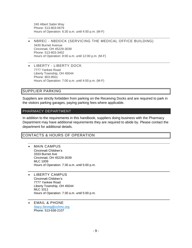240 Albert Sabin Way Phone: 513-803-0679 Hours of Operation: 6:30 a.m. until 4:00 p.m. (M-F)

- NBREC NBDOCK (SERVICING THE MEDICAL OFFICE BUILDING) 3430 Burnet Avenue Cincinnati, OH 45229-3039 Phone: 513-803-3402 Hours of Operation: 8:00 a.m. until 12:00 p.m. (M-F)
- LIBERTY LIBERTY DOCK 7777 Yankee Road Liberty Township, OH 45044 Phone: 803-9501 Hours of Operation: 7:00 a.m. until 4:00 p.m. (M-F)

#### <span id="page-10-0"></span>SUPPLIER PARKING

Suppliers are strictly forbidden from parking on the Receiving Docks and are required to park in the visitors parking garages, paying parking fees where applicable.

#### <span id="page-10-1"></span>PHARMACY DEPARTMENT

In addition to the requirements in this handbook, suppliers doing business with the Pharmacy Department may have additional requirements they are required to abide by. Please contact the department for additional details.

#### CONTACTS & HOURS OF OPERATION

- MAIN CAMPUS Cincinnati Children's 3333 Burnet Ave Cincinnati, OH 45229-3039 MLC 1009 Hours of Operation: 7:30 a.m. until 5:00 p.m.
- LIBERTY CAMPUS Cincinnati Children's 7777 Yankee Road Liberty Township, OH 45044 MLC 1011 Hours of Operation: 7:30 a.m. until 5:00 p.m.
- EMAIL & PHONE [Stacy.Strong@cchmc.org](mailto:Purchasing@cchmc.org) Phone: 513-636-2107